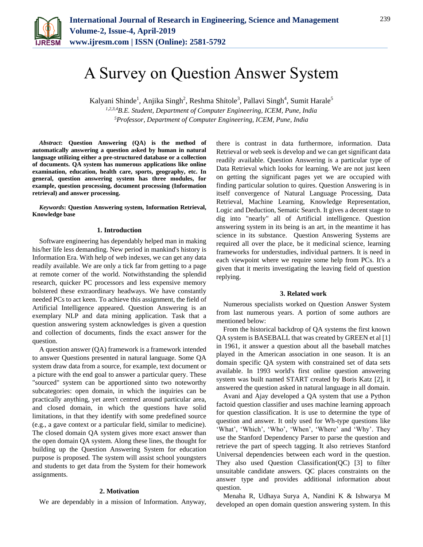

# A Survey on Question Answer System

Kalyani Shinde<sup>1</sup>, Anjika Singh<sup>2</sup>, Reshma Shitole<sup>3</sup>, Pallavi Singh<sup>4</sup>, Sumit Harale<sup>5</sup> *1,2,3,4B.E. Student, Department of Computer Engineering, ICEM, Pune, India*

*5Professor, Department of Computer Engineering, ICEM, Pune, India*

*Abstract***: Question Answering (QA) is the method of automatically answering a question asked by human in natural language utilizing either a pre-structured database or a collection of documents. QA system has numerous applications like online examination, education, health care, sports, geography, etc. In general, question answering system has three modules, for example, question processing, document processing (Information retrieval) and answer processing.**

*Keywords***: Question Answering system, Information Retrieval, Knowledge base**

#### **1. Introduction**

Software engineering has dependably helped man in making his/her life less demanding. New period in mankind's history is Information Era. With help of web indexes, we can get any data readily available. We are only a tick far from getting to a page at remote corner of the world. Notwithstanding the splendid research, quicker PC processors and less expensive memory bolstered these extraordinary headways. We have constantly needed PCs to act keen. To achieve this assignment, the field of Artificial Intelligence appeared. Question Answering is an exemplary NLP and data mining application. Task that a question answering system acknowledges is given a question and collection of documents, finds the exact answer for the question.

A question answer (QA) framework is a framework intended to answer Questions presented in natural language. Some QA system draw data from a source, for example, text document or a picture with the end goal to answer a particular query. These "sourced" system can be apportioned sinto two noteworthy subcategories: open domain, in which the inquiries can be practically anything, yet aren't centred around particular area, and closed domain, in which the questions have solid limitations, in that they identify with some predefined source (e.g., a gave context or a particular field, similar to medicine). The closed domain QA system gives more exact answer than the open domain QA system. Along these lines, the thought for building up the Question Answering System for education purpose is proposed. The system will assist school youngsters and students to get data from the System for their homework assignments.

#### **2. Motivation**

We are dependably in a mission of Information. Anyway,

there is contrast in data furthermore, information. Data Retrieval or web seek is develop and we can get significant data readily available. Question Answering is a particular type of Data Retrieval which looks for learning. We are not just keen on getting the significant pages yet we are occupied with finding particular solution to quires. Question Answering is in itself convergence of Natural Language Processing, Data Retrieval, Machine Learning, Knowledge Representation, Logic and Deduction, Sematic Search. It gives a decent stage to dig into "nearly" all of Artificial intelligence. Question answering system in its being is an art, in the meantime it has science in its substance. Question Answering Systems are required all over the place, be it medicinal science, learning frameworks for understudies, individual partners. It is need in each viewpoint where we require some help from PCs. It's a given that it merits investigating the leaving field of question replying.

#### **3. Related work**

Numerous specialists worked on Question Answer System from last numerous years. A portion of some authors are mentioned below:

From the historical backdrop of QA systems the first known QA system is BASEBALL that was created by GREEN et al [1] in 1961, it answer a question about all the baseball matches played in the American association in one season. It is an domain specific QA system with constrained set of data sets available. In 1993 world's first online question answering system was built named START created by Boris Katz [2], it answered the question asked in natural language in all domain.

Avani and Ajay developed a QA system that use a Python factoid question classifier and uses machine learning approach for question classification. It is use to determine the type of question and answer. It only used for Wh-type questions like 'What', 'Which', 'Who', 'When', 'Where' and 'Why'. They use the Stanford Dependency Parser to parse the question and retrieve the part of speech tagging. It also retrieves Stanford Universal dependencies between each word in the question. They also used Question Classification  $(QC)$  [3] to filter unsuitable candidate answers. QC places constraints on the answer type and provides additional information about question.

Menaha R, Udhaya Surya A, Nandini K & Ishwarya M developed an open domain question answering system. In this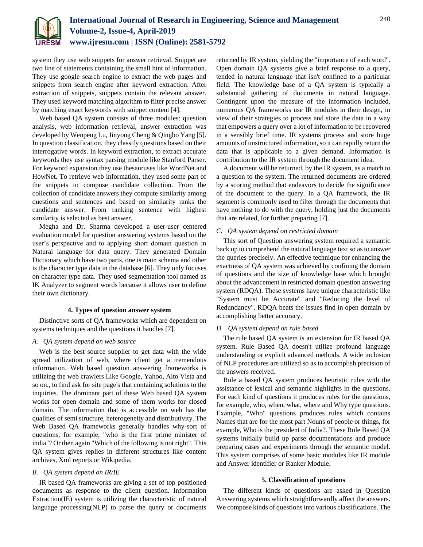

system they use web snippets for answer retrieval. Snippet are two line of statements containing the small hint of information. They use google search engine to extract the web pages and snippets from search engine after keyword extraction. After extraction of snippets, snippets contain the relevant answer. They used keyword matching algorithm to filter precise answer by matching exact keywords with snippet content [4].

Web based QA system consists of three modules: question analysis, web information retrieval, answer extraction was developed by Wenpeng Lu, Jinyong Cheng & Qingbo Yang [5]. In question classification, they classify questions based on their interrogative words. In keyword extraction, to extract accurate keywords they use syntax parsing module like Stanford Parser. For keyword expansion they use thesauruses like WordNet and HowNet. To retrieve web information, they used some part of the snippets to compose candidate collection. From the collection of candidate answers they compute similarity among questions and sentences and based on similarity ranks the candidate answer. From ranking sentence with highest similarity is selected as best answer.

Megha and Dr. Sharma developed a user-user centered evaluation model for question answering systems based on the user's perspective and to applying short domain question in Natural language for data query. They generated Domain Dictionary which have two parts, one is main schema and other is the character type data in the database [6]. They only focuses on character type data. They used segmentation tool named as IK Analyzer to segment words because it allows user to define their own dictionary.

## **4. Types of question answer system**

Distinctive sorts of QA frameworks which are dependent on systems techniques and the questions it handles [7].

## *A. QA system depend on web source*

Web is the best source supplier to get data with the wide spread utilization of web, where client get a tremendous information. Web based question answering frameworks is utilizing the web crawlers Like Google, Yahoo, Alto Vista and so on., to find ask for site page's that containing solutions to the inquiries. The dominant part of these Web based QA system works for open domain and some of them works for closed domain. The information that is accessible on web has the qualities of semi structure, heterogeneity and distributivity. The Web Based QA frameworks generally handles why-sort of questions, for example, "who is the first prime minister of india"? Or then again "Which of the following is not right". This QA system gives replies in different structures like content archives, Xml reports or Wikipedia.

## *B. QA system depend on IR/IE*

IR based QA frameworks are giving a set of top positioned documents as response to the client question. Information Extraction(IE) system is utilizing the characteristic of natural language processing(NLP) to parse the query or documents

returned by IR system, yielding the "importance of each word". Open domain QA systems give a brief response to a query, tended in natural language that isn't confined to a particular field. The knowledge base of a QA system is typically a substantial gathering of documents in natural language. Contingent upon the measure of the information included, numerous QA frameworks use IR modules in their design, in view of their strategies to process and store the data in a way that empowers a query over a lot of information to be recovered in a sensibly brief time. IR systems process and store huge amounts of unstructured information, so it can rapidly return the data that is applicable to a given demand. Information is contribution to the IR system through the document idea.

A document will be returned, by the IR system, as a match to a question to the system. The returned documents are ordered by a scoring method that endeavors to decide the significance of the document to the query. In a QA framework, the IR segment is commonly used to filter through the documents that have nothing to do with the query, holding just the documents that are related, for further preparing [7].

## *C. QA system depend on restricted domain*

This sort of Question answering system required a semantic back up to comprehend the natural language text so as to answer the queries precisely. An effective technique for enhancing the exactness of QA system was achieved by confining the domain of questions and the size of knowledge base which brought about the advancement in restricted domain question answering system (RDQA). These systems have unique characteristic like "System must be Accurate" and "Reducing the level of Redundancy". RDQA beats the issues find in open domain by accomplishing better accuracy.

#### *D. QA system depend on rule based*

The rule based QA system is an extension for IR based QA system. Rule Based QA doesn't utilize profound language understanding or explicit advanced methods. A wide inclusion of NLP procedures are utilized so as to accomplish precision of the answers received.

Rule a based QA system produces heuristic rules with the assistance of lexical and semantic highlights in the questions. For each kind of questions it produces rules for the questions, for example, who, when, what, where and Why type questions. Example, "Who" questions produces rules which contains Names that are for the most part Nouns of people or things, for example, Who is the president of India?. These Rule Based QA systems initially build up parse documentations and produce preparing cases and experiments through the semantic model. This system comprises of some basic modules like IR module and Answer identifier or Ranker Module.

#### **5. Classification of questions**

The different kinds of questions are asked in Question Answering systems which straightforwardly affect the answers. We compose kinds of questions into various classifications. The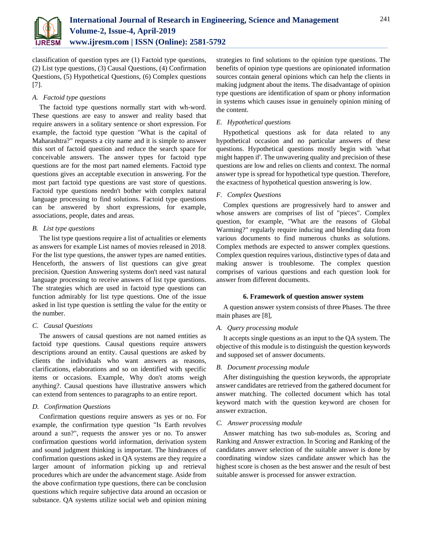

classification of question types are (1) Factoid type questions, (2) List type questions, (3) Causal Questions, (4) Confirmation Questions, (5) Hypothetical Questions, (6) Complex questions [7].

## *A. Factoid type questions*

The factoid type questions normally start with wh-word. These questions are easy to answer and reality based that require answers in a solitary sentence or short expression. For example, the factoid type question "What is the capital of Maharashtra?" requests a city name and it is simple to answer this sort of factoid question and reduce the search space for conceivable answers. The answer types for factoid type questions are for the most part named elements. Factoid type questions gives an acceptable execution in answering. For the most part factoid type questions are vast store of questions. Factoid type questions needn't bother with complex natural language processing to find solutions. Factoid type questions can be answered by short expressions, for example, associations, people, dates and areas.

## *B. List type questions*

The list type questions require a list of actualities or elements as answers for example List names of movies released in 2018. For the list type questions, the answer types are named entities. Henceforth, the answers of list questions can give great precision. Question Answering systems don't need vast natural language processing to receive answers of list type questions. The strategies which are used in factoid type questions can function admirably for list type questions. One of the issue asked in list type question is settling the value for the entity or the number.

## *C. Causal Questions*

The answers of causal questions are not named entities as factoid type questions. Causal questions require answers descriptions around an entity. Causal questions are asked by clients the individuals who want answers as reasons, clarifications, elaborations and so on identified with specific items or occasions. Example, Why don't atoms weigh anything?. Causal questions have illustrative answers which can extend from sentences to paragraphs to an entire report.

## *D. Confirmation Questions*

Confirmation questions require answers as yes or no. For example, the confirmation type question "Is Earth revolves around a sun?", requests the answer yes or no. To answer confirmation questions world information, derivation system and sound judgment thinking is important. The hindrances of confirmation questions asked in QA systems are they require a larger amount of information picking up and retrieval procedures which are under the advancement stage. Aside from the above confirmation type questions, there can be conclusion questions which require subjective data around an occasion or substance. QA systems utilize social web and opinion mining

strategies to find solutions to the opinion type questions. The benefits of opinion type questions are opinionated information sources contain general opinions which can help the clients in making judgment about the items. The disadvantage of opinion type questions are identification of spam or phony information in systems which causes issue in genuinely opinion mining of the content.

## *E. Hypothetical questions*

Hypothetical questions ask for data related to any hypothetical occasion and no particular answers of these questions. Hypothetical questions mostly begin with 'what might happen if'. The unwavering quality and precision of these questions are low and relies on clients and context. The normal answer type is spread for hypothetical type question. Therefore, the exactness of hypothetical question answering is low.

## *F. Complex Questions*

Complex questions are progressively hard to answer and whose answers are comprises of list of "pieces". Complex question, for example, "What are the reasons of Global Warming?" regularly require inducing and blending data from various documents to find numerous chunks as solutions. Complex methods are expected to answer complex questions. Complex question requires various, distinctive types of data and making answer is troublesome. The complex question comprises of various questions and each question look for answer from different documents.

## **6. Framework of question answer system**

A question answer system consists of three Phases. The three main phases are [8],

## *A. Query processing module*

It accepts single questions as an input to the QA system. The objective of this module is to distinguish the question keywords and supposed set of answer documents.

## *B. Document processing module*

After distinguishing the question keywords, the appropriate answer candidates are retrieved from the gathered document for answer matching. The collected document which has total keyword match with the question keyword are chosen for answer extraction.

## *C. Answer processing module*

Answer matching has two sub-modules as, Scoring and Ranking and Answer extraction. In Scoring and Ranking of the candidates answer selection of the suitable answer is done by coordinating window sizes candidate answer which has the highest score is chosen as the best answer and the result of best suitable answer is processed for answer extraction.